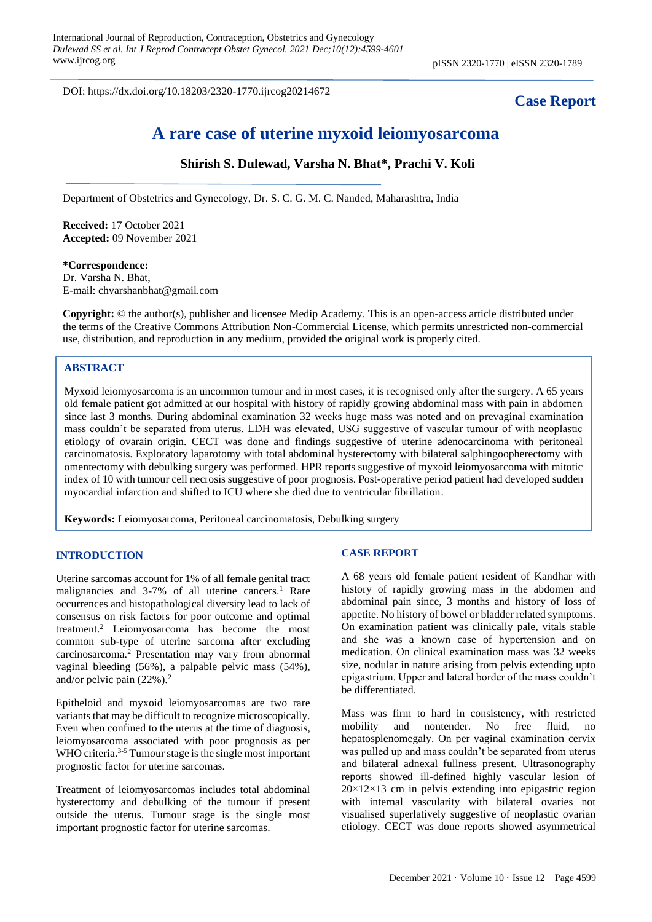DOI: https://dx.doi.org/10.18203/2320-1770.ijrcog20214672

# **Case Report**

# **A rare case of uterine myxoid leiomyosarcoma**

## **Shirish S. Dulewad, Varsha N. Bhat\*, Prachi V. Koli**

Department of Obstetrics and Gynecology, Dr. S. C. G. M. C. Nanded, Maharashtra, India

**Received:** 17 October 2021 **Accepted:** 09 November 2021

#### **\*Correspondence:**

Dr. Varsha N. Bhat, E-mail: chvarshanbhat@gmail.com

**Copyright:** © the author(s), publisher and licensee Medip Academy. This is an open-access article distributed under the terms of the Creative Commons Attribution Non-Commercial License, which permits unrestricted non-commercial use, distribution, and reproduction in any medium, provided the original work is properly cited.

### **ABSTRACT**

Myxoid leiomyosarcoma is an uncommon tumour and in most cases, it is recognised only after the surgery. A 65 years old female patient got admitted at our hospital with history of rapidly growing abdominal mass with pain in abdomen since last 3 months. During abdominal examination 32 weeks huge mass was noted and on prevaginal examination mass couldn't be separated from uterus. LDH was elevated, USG suggestive of vascular tumour of with neoplastic etiology of ovarain origin. CECT was done and findings suggestive of uterine adenocarcinoma with peritoneal carcinomatosis. Exploratory laparotomy with total abdominal hysterectomy with bilateral salphingoopherectomy with omentectomy with debulking surgery was performed. HPR reports suggestive of myxoid leiomyosarcoma with mitotic index of 10 with tumour cell necrosis suggestive of poor prognosis. Post-operative period patient had developed sudden myocardial infarction and shifted to ICU where she died due to ventricular fibrillation.

**Keywords:** Leiomyosarcoma, Peritoneal carcinomatosis, Debulking surgery

#### **INTRODUCTION**

Uterine sarcomas account for 1% of all female genital tract malignancies and 3-7% of all uterine cancers.<sup>1</sup> Rare occurrences and histopathological diversity lead to lack of consensus on risk factors for poor outcome and optimal treatment.<sup>2</sup> Leiomyosarcoma has become the most common sub-type of uterine sarcoma after excluding carcinosarcoma.<sup>2</sup> Presentation may vary from abnormal vaginal bleeding (56%), a palpable pelvic mass (54%), and/or pelvic pain  $(22\%)$ .<sup>2</sup>

Epitheloid and myxoid leiomyosarcomas are two rare variants that may be difficult to recognize microscopically. Even when confined to the uterus at the time of diagnosis, leiomyosarcoma associated with poor prognosis as per WHO criteria.<sup>3-5</sup> Tumour stage is the single most important prognostic factor for uterine sarcomas.

Treatment of leiomyosarcomas includes total abdominal hysterectomy and debulking of the tumour if present outside the uterus. Tumour stage is the single most important prognostic factor for uterine sarcomas.

#### **CASE REPORT**

A 68 years old female patient resident of Kandhar with history of rapidly growing mass in the abdomen and abdominal pain since, 3 months and history of loss of appetite. No history of bowel or bladder related symptoms. On examination patient was clinically pale, vitals stable and she was a known case of hypertension and on medication. On clinical examination mass was 32 weeks size, nodular in nature arising from pelvis extending upto epigastrium. Upper and lateral border of the mass couldn't be differentiated.

Mass was firm to hard in consistency, with restricted mobility and nontender. No free fluid, no hepatosplenomegaly. On per vaginal examination cervix was pulled up and mass couldn't be separated from uterus and bilateral adnexal fullness present. Ultrasonography reports showed ill-defined highly vascular lesion of  $20\times12\times13$  cm in pelvis extending into epigastric region with internal vascularity with bilateral ovaries not visualised superlatively suggestive of neoplastic ovarian etiology. CECT was done reports showed asymmetrical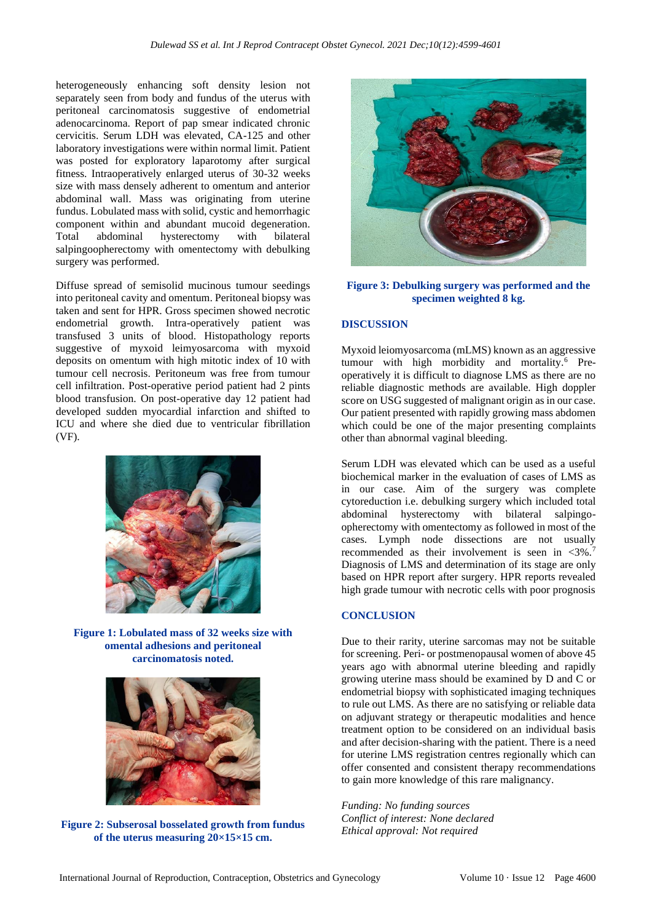heterogeneously enhancing soft density lesion not separately seen from body and fundus of the uterus with peritoneal carcinomatosis suggestive of endometrial adenocarcinoma. Report of pap smear indicated chronic cervicitis. Serum LDH was elevated, CA-125 and other laboratory investigations were within normal limit. Patient was posted for exploratory laparotomy after surgical fitness. Intraoperatively enlarged uterus of 30-32 weeks size with mass densely adherent to omentum and anterior abdominal wall. Mass was originating from uterine fundus. Lobulated mass with solid, cystic and hemorrhagic component within and abundant mucoid degeneration. Total abdominal hysterectomy with bilateral salpingoopherectomy with omentectomy with debulking surgery was performed.

Diffuse spread of semisolid mucinous tumour seedings into peritoneal cavity and omentum. Peritoneal biopsy was taken and sent for HPR. Gross specimen showed necrotic endometrial growth. Intra-operatively patient was transfused 3 units of blood. Histopathology reports suggestive of myxoid leimyosarcoma with myxoid deposits on omentum with high mitotic index of 10 with tumour cell necrosis. Peritoneum was free from tumour cell infiltration. Post-operative period patient had 2 pints blood transfusion. On post-operative day 12 patient had developed sudden myocardial infarction and shifted to ICU and where she died due to ventricular fibrillation (VF).



**Figure 1: Lobulated mass of 32 weeks size with omental adhesions and peritoneal carcinomatosis noted.**



**Figure 2: Subserosal bosselated growth from fundus of the uterus measuring 20×15×15 cm.**



**Figure 3: Debulking surgery was performed and the specimen weighted 8 kg.**

#### **DISCUSSION**

Myxoid leiomyosarcoma (mLMS) known as an aggressive tumour with high morbidity and mortality.<sup>6</sup> Preoperatively it is difficult to diagnose LMS as there are no reliable diagnostic methods are available. High doppler score on USG suggested of malignant origin as in our case. Our patient presented with rapidly growing mass abdomen which could be one of the major presenting complaints other than abnormal vaginal bleeding.

Serum LDH was elevated which can be used as a useful biochemical marker in the evaluation of cases of LMS as in our case. Aim of the surgery was complete cytoreduction i.e. debulking surgery which included total abdominal hysterectomy with bilateral salpingoopherectomy with omentectomy as followed in most of the cases. Lymph node dissections are not usually recommended as their involvement is seen in  $\langle 3\% \rangle$ . Diagnosis of LMS and determination of its stage are only based on HPR report after surgery. HPR reports revealed high grade tumour with necrotic cells with poor prognosis

#### **CONCLUSION**

Due to their rarity, uterine sarcomas may not be suitable for screening. Peri- or postmenopausal women of above 45 years ago with abnormal uterine bleeding and rapidly growing uterine mass should be examined by D and C or endometrial biopsy with sophisticated imaging techniques to rule out LMS. As there are no satisfying or reliable data on adjuvant strategy or therapeutic modalities and hence treatment option to be considered on an individual basis and after decision-sharing with the patient. There is a need for uterine LMS registration centres regionally which can offer consented and consistent therapy recommendations to gain more knowledge of this rare malignancy.

*Funding: No funding sources Conflict of interest: None declared Ethical approval: Not required*